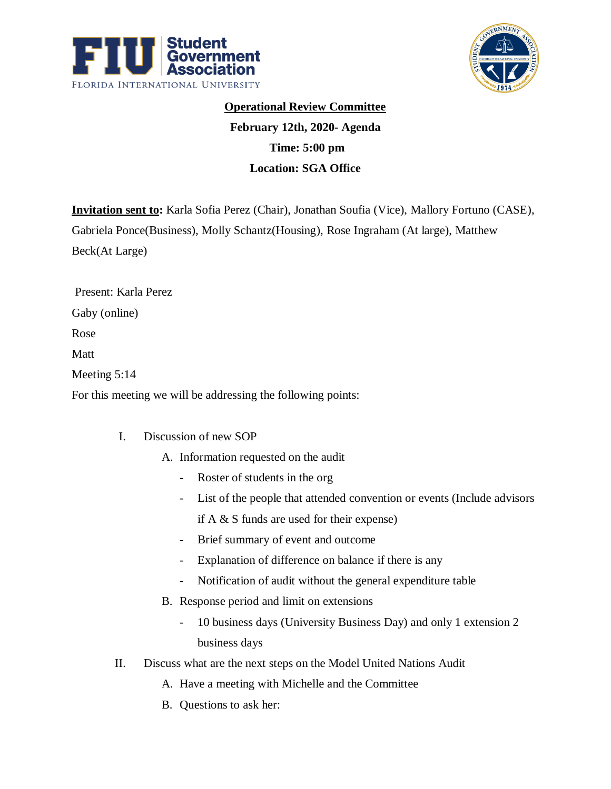



## **Operational Review Committee February 12th, 2020- Agenda Time: 5:00 pm**

**Location: SGA Office**

**Invitation sent to:** Karla Sofia Perez (Chair), Jonathan Soufia (Vice), Mallory Fortuno (CASE), Gabriela Ponce(Business), Molly Schantz(Housing), Rose Ingraham (At large), Matthew Beck(At Large)

Present: Karla Perez

Gaby (online)

Rose

Matt

Meeting 5:14

For this meeting we will be addressing the following points:

## I. Discussion of new SOP

- A. Information requested on the audit
	- Roster of students in the org
	- List of the people that attended convention or events (Include advisors if A & S funds are used for their expense)
	- Brief summary of event and outcome
	- Explanation of difference on balance if there is any
	- Notification of audit without the general expenditure table
- B. Response period and limit on extensions
	- 10 business days (University Business Day) and only 1 extension 2 business days
- II. Discuss what are the next steps on the Model United Nations Audit
	- A. Have a meeting with Michelle and the Committee
	- B. Questions to ask her: